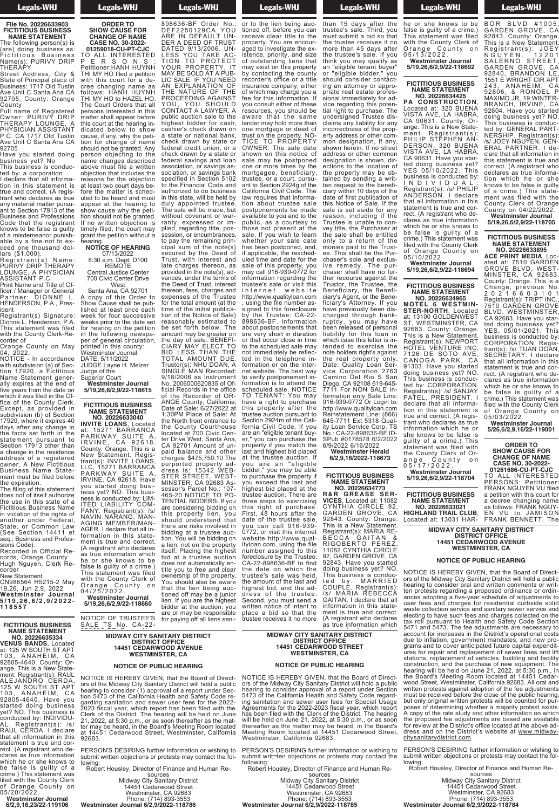## Legals-WHJ

**File No. 20226633903 FICTITIOUS BUSINESS NAME STATEMENT**

The following person(s) is (are) doing business as: Fictitious Business Name(s): PURIVY DRIP

THERAPY Street Address, City & State of Principal place of Business: 1717 Old Tustin Ave Unit C Santa Ana CA 92705, County: Orange

County Full name of Registered Owner: PURIVY DRIP THERAPY LOUNGE, A PHYSICIAN ASSISTANT P.C. CA 1717 Old Tustin Ave Unit C Santa Ana CA

92705 Have you started doing business yet? No

This business is conducted by: a corporation

I declare that all information in this statement is true and correct. (A registrant who declares as true any material matter pursuant to Section 17913 of the Business and Professions Code that the registrant knows to be false is guilty of a misdemeanor punishable by a fine not to exceed one thousand dollars (\$1,000).

Registrant(s) Name: PURIVY DRIP THERAPY LOUNGE, A PHYSICIAN ASSISTANT P.C.

Print Name and Title of Officer / Manager or General Partner: DIONNE L. HENDERSON, P.A., Pres-

ident Registrant(s) Signature: Dionne L. Henderson, P.A.

This statement was filed with the County Clerk-Recorder of Orange County on May

04, 2022. NOTICE - In accordance

with subdivision (a) of Section 17920, a Fictitious Name Statement generally expires at the end of five years from the date on which it was filed in the Office of the County Clerk. Except, as provided in subdivision (b) of Section 17920, where it expires 40 days after any change in the facts set forth in the statement pursuant to Section 17913 other than a change in the residence address of a registered owner. A New Fictitious Business Name Statement must be filed before the expiration.

The filing of this statement does not of itself authorize the use in this state of a Fictitious Business Name in violation of the rights of another under Federal, State, or Common Law (See Section 14411 et seq., Business and Profes-

sions Code). Recorded in Official Records, Orange County Hugh Nguyen, Clerk Recorder

New Statement CN986564 H5215-2 May 19,26, Jun 2,9, 2022 **Westminster Journal 5 / 1 9 , 2 6 , 6 / 2 , 9 / 2 0 2 2 - 1 1 8 5 5 7**

**FICTITIOUS BUSINESS NAME STATEMENT NO. 20226635334**

**VENUS BANDS**, Located at: 125 W SOUTH ST APT 103, ANAHEIM, CA 92805-4640. County: Orange. This is a New Statement. Registrant(s): RAUL ALEJANDRO CERDA, 125 W SOUTH ST APT 103, ANAHEIM, CA 92805-4640. Have you started doing business yet? NO. This business is conducted by: INDIVIDU-AL. Registrant(s): /s/ RAUL CERDA. I declare that all information in this statement is true and correct. (A registrant who declares as true information which he or she knows to be false is guilty of a crime.) This statement was filed with the County Clerk of Orange County on

05/20/2022. **Westminster Journal 6/2,9,16,23/22-119106** Legals-WHJ **ORDER TO**

**Legals-WHJ** SALE TS No. CA-22- 898636-BF Order No.: DEF2250129CA YOU ARE IN DEFAULT UN-

**SHOW CAUSE FOR CHANGE OF NAME CASE NO. 30-2022- 01259018-CU-PT-CJC**

TO ALL INTERESTED P E R S O N S : Petitioner:HANH HUYNH THI MY HO filed a petition with this court for a decree changing name as follows: HANH HUYNH THI MY HO to HAZEL HO. The Court Orders that all persons interested in this matter shall appear before this court at the hearing indicated below to show cause, if any, why the petition for change of name should not be granted. Any person objecting to the name changes described above must file a written objection that includes the reasons for the objection at least two court days before the matter is scheduled to be heard and must appear at the hearing to show cause why the petition should not be granted. If no written objection is timely filed, the court may grant the petition without a

hearing. **NOTICE OF HEARING** 07/13/2022

8:30 a.m. Dept: D100 REMOTE Central Justice Center 700 Civic Center Drive

West Santa Ana, CA 92701 A copy of this Order to Show Cause shall be published at least once each week for four successive weeks prior to the date set for hearing on the petition in the following newspaper of general circulation, printed in this county: Westminster Journal DATE: 5/11/2022 JUDGE Layne H. Melzer Judge of the

Superior Court **Westminster Journal 5/19,26,6/2,9/22-118615**

**FICTITIOUS BUSINESS NAME STATEMENT NO. 20226633040**

**INVITE LOANS**, Located at: 15271 BARRANCA PARKWAY SUITE A, IRVINE, CA 92618. County: Orange. This is a New Statement. Registrant(s): INVITE LOANS, LLC, 15271 BARRANCA PARKWAY SUITE A, IRVINE, CA 92618. Have you started doing business yet? NO. This business is conducted by: LIM-ITED LIABILITY COM-PANY. Registrant(s): /s/ PANY. Registrant(s): /s/<br>NAVIN NARANG, MAN-AGING MEMBER/MAN-AGER. I declare that all information in this statement is true and correct. (A registrant who declares as true information which he or she knows to be false is guilty of a crime.) This statement was filed with the County Clerk of Orange County on 0 4 / 2 5 / 2 0 2 2 . tioned off may be a junior

# **Westminster Journal 5/19,26,6/2,9/22-118660**

NOTICE OF TRUSTEE'S<br>SALE TS No. CA-22-TS No. CA-22-898636-BF Order No.:

**MIDWAY CITY SANITARY DISTRICT DISTRICT OFFICE 14451 CEDARWOOD AVENUE WESTMINSTER, CA** MIDWAY CITY SA ARE IN DISTRICT 14451 CEDAR<br>עבר ספורי  $WESIMII$  $t = t$  of  $\theta$  of  $\theta$  cannot  $\theta$ III ARY DISTRICT<br>OFFICE UFFICE<br>OOD AVENUE UUD AVENUE<br>ITED OA

**NOTICE OF PUBLIC HEARING NOTICE OF PUBLIC HEARING**  $\blacksquare$ ier, ca **EXISTENTS** 

lien. If you are the highest bidder at the auction, you are or may be responsible for paying off all liens seni-

NOTICE IS HEREBY GIVEN, that the Board of Direct-<br>ors of the Midway City Sanitary District will hold a public<br>hearing to consider (1) approval of a report under Sec-<br>tion 5473 of the California Health and Safety Code re-<br>g 21, 2022, at 5:30 p.m., or as soon thereafter as the mat-ter may be heard, in the Board's Meeting Room located at 14451 Cedarwood Street, Westminster, California 92683. NOTICE IS HEDERY CIVEN that the Board of Direct NUTIUE IS HEREBY GIVI<br>ATA Af the Midway City Can OLS OF THE MIQWAY CITY SAIT ricaring to consider (1) app<br>tion 5473 of the Colifornia THE CALIDITIE garung sannanon anu se<br>2023 fiscal year, which re zuzo iistai year, wilitii re<br>Clark of tha District. Tha k CICIN OF LIC DISLICE THE T  $\epsilon$  i, 2022, at 0.00 p.m., or a<br>fer may he heard  $\;$  in the Bo ter may be neard, in the Be<br>at 14451 Cedarwood Stre ach i Fraoir locadh modar on c<br>92683  $\overline{\phantom{a}}$ r, triat the board or Direct-<br>in District will hold a nublic if y District will flold a public<br>wal of a report under Secof which which we<br>alth and Safety Code recall fails balbly bout it-<br>If light foos for the 2022 you could not be the consult the<br>International filed with the nt has been med with the<br>aring will be held on June armg will be rible on band<br>soon thereafter as the mat-France mortgage or dering Room located<br>Trust Meeting Room located<br>t, Westminster, California

------<br>PERSON'S DESIRING further information or wishing to submit written objections or protests may contact the fol-<br>lowing: er information or wishing to sale may be postponed

lowing:<br>Robert Housley, Director of Finance and Human Re- $\frac{1}{2}$ sociation,  $\frac{1}{2}$ sociation,  $\frac{1}{2}$ sociation,  $\frac{1}{2}$ sociation,  $\frac{1}{2}$ sociation,  $\frac{1}{2}$ sociation,  $\frac{1}{2}$ sociation,  $\frac{1}{2}$ sociation,  $\frac{1}{2}$ sociation,  $\frac{1}{2}$ sociation,  $\frac{1}{2}$ sociation,  $m_{\rm c}$ 

sources<br>
Midway City Sanitary District<br>
14451 Cedarwood Street<br>
Westminster, CA 92683<br>
Phone: (714) 893-3553<br>
Westminster Journal 6/2,9/2022-118786 Midway City:  $\overline{14451}$  Ceda to the Financial Code and Trustees are the Financial Code and Trustees are the Financial Code and Trustees and 71) :Phone<br>Westminster Journal 6 nitary District wood Street CA 92683 l 893-3553<br>**2022-118786** 

DER A DEED OF TRUST DATED 9/13/2006. UN-LESS YOU TAKE AC-TION TO PROTECT YOUR PROPERTY, IT MAY BE SOLD AT A PUB-LIC SALE. IF YOU NEED AN EXPLANATION OF THE NATURE OF THE PROCEEDING AGAINST YOU, YOU SHOULD CONTACT A LAWYER. A public auction sale to the highest bidder for cash, cashier's check drawn on a state or national bank, check drawn by state or federal credit union, or a check drawn by a state or federal savings and loan association, or savings association, or savings bank specified in Section 5102 to the Financial Code and authorized to do business in this state, will be held by duly appointed trustee. The sale will be made, but without covenant or warranty, expressed or implied, regarding title, possession, or encumbrances, to pay the remaining principal sum of the note(s) secured by the Deed of Trust, with interest and late charges thereon, as provided in the note(s), advances, under the terms of the Deed of Trust, interest thereon, fees, charges and expenses of the Trustee for the total amount (at the time of the initial publication of the Notice of Sale) reasonably estimated to be set forth below. The amount may be greater on the day of sale. BENEFI-CIARY MAY ELECT TO BID LESS THAN THE TOTAL AMOUNT DUE. Trustor(s): NHU DOAN, A SINGLE MAN Recorded: 9/18/2006 as Instrument No. 2006000620835 of Official Records in the office of the Recorder of OR-ANGE County, California; Date of Sale: 6/27/2022 at 1:30PM Place of Sale: At the North front entrance to the County Courthouse located at 700 Civic Center Drive West, Santa Ana, CA 92701 Amount of unpaid balance and other charges: \$475,750.10 The purported property address is: 15342 WEB-STER STREET, WEST-MINSTER, CA 92683 Assessor's Parcel No.: 107- 465-20 NOTICE TO PO-TENTIAL BIDDERS: If you are considering bidding on this property lien, you should understand that there are risks involved in bidding at a trustee auction. You will be bidding on a lien, not on the property itself. Placing the highest bid at a trustee auction does not automatically entitle you to free and clear ownership of the property. You should also be aware that the lien being auc-

for paying off all liens senior to the lien being auctioned off, before you can receive clear title to the property. You are encouraged to investigate the existence, priority, and size of outstanding liens that may exist on this property by contacting the county recorder's office or a title insurance company, either of which may charge you a fee for this information. If you consult either of these resources, you should be aware that the same lender may hold more than one mortgage or deed of trust on the property. NO-TICE TO PROPERTY OWNER: The sale date shown on this notice of sale may be postponed one or more times by the mortgagee, beneficiary, trustee, or a court, pursuant to Section 2924g of the California Civil Code. The law requires that information about trustee sale postponements be made available to you and to the public, as a courtesy to those not present at the sale. If you wish to learn whether your sale date has been postponed, and, if applicable, the rescheduled time and date for the sale of this property, you may call 916-939-0772 for information regarding the trustee's sale or visit this internet website http://www.qualityloan.com using the file number assigned to this foreclosure by the Trustee: CA-22- 898636-BF. Information about postponements that are very short in duration or that occur close in time to the scheduled sale may not immediately be reflected in the telephone information or on the internet website. The best way to verify postponement information is to attend the scheduled sale. NOTICE TO TENANT: You may have a right to purchase this property after the trustee auction pursuant to Section 2924m of the California Civil Code. If you are an "eligible tenant buyer," you can purchase the property if you match the last and highest bid placed at the trustee auction. If you are an "el igible bidder," you may be able to purchase the property if you exceed the last and highest bid placed at the trustee auction. There are three steps to exercising this right of purchase. First, 48 hours after the date of the trustee sale, you can call 916-939- 0772, or visit this internet website http://www.qualityloan.com, using the file number assigned to this foreclosure by the Trustee: CA-22-898636-BF to find the date on which the trustee's sale was held, the amount of the last and highest bid, and the address of the trustee. Second, you must send a trustee receives it no more

**Example 3** Legals-WHJ  $\frac{1}{2}$  are  $\frac{1}{2}$ 

**Example 10** Legals-WHJ  $\frac{1}{2}$  bid so that the so that the so that the so that the so that the so that the so that the so that the so that the so that the so that the so that the so that the so that the so that the so that the so that the so

than 15 days after the<br>trustee's sale. Third, you must submit a bid so that the trustee receives it no more than 45 days after the trustee's sale. If you think you may qualify as an "eligible tenant buyer" or "eligible bidder," you should consider contacting an attorney or appropriate real estate professional immediately for advice regarding this potential right to purchase. The undersigned Trustee disclaims any liability for any incorrectness of the property address or other common designation, if any, shown herein. If no street address or other common designation is shown, directions to the location of the property may be obtained by sending a written request to the beneficiary within 10 days of the date of first publication of this Notice of Sale. If the sale is set aside for any reason, including if the Trustee is unable to convey title, the Purchaser at the sale shall be entitled only to a return of the monies paid to the Trustee. This shall be the Purchaser's sole and exclusive remedy. The purchaser shall have no further recourse against the Trustor, the Trustee, the Beneficiary, the Beneficiary's Agent, or the Beneficiary's Attorney. If you have previously been discharged through bankruptcy, you may have been released of personal liability for this loan in which case this letter is intended to exercise the note holders right's against the real property only. Date: Quality Loan Service Corporation 2763 Camino Del Rio S San Diego, CA 92108 619-645- 7711 For NON SALE information only Sale Line: 916-939-0772 Or Login to: http://www.qualityloan.com Reinstatement Line: (866) 645-7711 Ext 5318 Quality Loan Service Corp. TS No.: CA-22-898636-BF ID-SPub #0178578 6/2/2022 6/9/2022 6/16/2022

#### **Westminster Herald 6/2,9,16/2022-118673**

#### **FICTITIOUS BUSINESS NAME STATEMENT NO. 20226634773**

**R&R GREASE SER-VICES**, Located at: 11082 CYNTHIA CIRCLE 92, GARDEN GROVE, CA 92843. County: Orange. This is a New Statement. Registrant(s): MARIA RE-BECCA GAITAN & RIGOBERTO PEREZ, 11082 CYNTHIA CIRCLE 92, GARDEN GROVE, CA 92843. Have you started doing business yet? NO. This business is conducted by: MARRIED COUPLE. Registrant(s): /s/ MARIA REBECCA GAITAN. I declare that all information in this state-ment is true and correct. (A registrant who declares as true information which

**MIDWAY CITY SANITARY DISTRICT DISTRICT OFFICE 14451 CEDARWOOD STREET WESTMINSTER, CA** י טוט ואט וויט וויט של<br>אוסד אוח the trustee receive<br>14451 CEDAP music than 45 days and the 1945 of the 1945 of the 1945 of the 1945 of the 1945 of the 1945 of the 1945 of the<br>MESTIMUSIC TERRITORY OF THE 1945 OF THE 1945 OF THE 1945 OF THE 1945 OF THE 1945 OF THE 1945 OF THE 1945 OF T  $\mathbf{v}$  to the trustee is satisfied. fiant district.<br>Office UFFIUE<br>OOD STBEET WUD SINEET<br>TED CA  $O(2n, CA)$ 

written notice of intent to place a bid so that the<br>trustee receives it no more

#### **NOTICE OF PUBLIC HEARING** and the tenant buyer of the ten-

NOTICE IS HEREBY GIVEN, that the Board of Direct-<br>ors of the Midway City Sanitary District will hold a public<br>hearing to consider approval of a report under Section<br>5473 of the California Health and Safety Code regard-<br>ing Agreements for the 2022-2023 fiscal year, which report<br>has been filed with the Clerk of the District. The hearing<br>will be held on June 21, 2022, at 5:30 p.m., or as soon<br>thereafter as the matter may be heard, in the Board' Westminster, California 92683. **NOTICE IS HERERY GIVEN, that the Board of Direct** is in the Midway City San<br>Ars of the Midway City San ord or the midway only oan  $5473$  of the California Hea sino of the callicities free<br>ing sanifation and sewer i ing comments i and conten-<br>Agreements for the 2022-2 tight somether that the Detail.<br>has been filed with the Cler nderseen med man als elektrone<br>will be held on June 21, 20 continue to the matter m increase incorrection mon designation, if any,

PERSON'S DESIRING further information or wishing to submit writ¬ten objections or protests may contact the following:<br>Robert Housley, Director of Finance and Human Re-PERSON'S DESIRING furt submit writ-ten objections

Robert Housley, Director  $\mathcal{L}$  the property may be ob-

sources Midway City Sanitary District 14451 Cedarwood Street Westminster, CA 92683 Phone: (714) 893-3553 **Westminster Journal 6/2,9/2022-118785** this Notice of Sale. If the Midway City  $9$  $t$ 14451 Ceda **Ciary Westminster** date of first public public public (71

**Example 15 Legals-WHJ**  $\sim$   $\sim$   $\sim$   $\sim$   $\sim$ 

as true information which he or she knows to be false is guilty of a crime.) This statement was filed with the County Clerk of Orange County on 0 5 / 1 3 / 2 0 2 2 . **Westminster Journal**

**5/19,26,6/2,9/22-118692**

#### **FICTITIOUS BUSINESS NAME STATEMENT NO. 20226634425**

**PA CONSTRUCTION**, Located at: 320 BUENA VISTA AVE, LA HABRA, CA 90631. County: Orange. This is a New Statement. Registrant(s): PHILIP STEPHEN AN-DERSON, 320 BUENA VISTA AVE, LA HABRA, CA 90631. Have you started doing business yet? YES 05/10/2022. This business is conducted by: I N D I V I D U A L . Registrant(s): /s/ PHILIP ANDERSON. I declare that all information in this statement is true and correct. (A registrant who declares as true information which he or she knows to be false is guilty of a crime.) This statement was filed with the County Clerk of Orange County on 05/10/2022.

### **Westminster Journal 5/19,26,6/2,9/22-118694**

## **FICTITIOUS BUSINESS NAME STATEMENT**

**NO. 20226634965 MOTEL 6 WESTMIN-STER-NORTH**, Located at: 13100 GOLDENWEST ST, WESTMINSTER, CA 92683. County: Orange. This is a New Statement. Registrant(s): NEWPORT HOTEL VENTURE INC, 7126 DE SOTO AVE, CANOGA PARK, CA 91303. Have you started doing business yet? NO. This business is conducted by: CORPORATION. Registrant(s): /s/ SANJAY PATEL, PRESIDENT. I declare that all information in this statement is true and correct. (A registrant who declares as true information which he or she knows to be false is guilty of a crime.) This statement was filed with the County Clerk of Or-

ange County on 0 5 / 1 7 / 2 0 2 2 . **Westminster Journal 5/19,26,6/2,9/22-118704**

**FICTITIOUS BUSINESS NAME STATEMENT NO. 20226633021 HIGHLAND TRAIL CLUB**,

MIDWAY CITY SA 92843. County: Orange.

# **CHANGE OF ALC NEARING**

NOTICE IS HEREBY GIVEN, that the Board of Directors of the Midway City Sanitary District will hold a public<br>hearing to consider oral and written comments or written protests regarding a proposed ordinance or ordin-ances adopting <sup>a</sup> five-year schedule of adjustments to user fees and charges for residential curbside solid waste collection service and sanitary sewer service and electing to have such fees and charges collected on the tax roll pursuant to Health and Safety Code Section 5471 and 5473. The fee adjustments are necessary to account for increases in the District's operational costs<br>due to inflation, government mandates, and new pro-<br>grams and to cover anticipated future capital expendit-<br>ures for repair and replacement of sewer lines and lift<br> written protests against adoption of the fee adjustments must be received before the close of the public hearing, but only original written protests will be counted for pur-<br>poses of determining whether a majority protest exists.<br>A copy of the rate study and other information on which the proposed fee adjustments are based are available for review at the District's office located at the above ad-**Westminster Journal** dress and on the District's website at www.midway-<br>citysanitarydistrict.com. UIS UI LIIE MIUWAY CILY SAH ricaring to consider oral al<br>fon profects regarding a n ien protests regarumy a p ances auopung a nve-year<br>user fees and charges fo waste collection service and<br>electing to have such fees<br>tax roll pursuant to Healt  $5471$  and  $5473$  The fee a  $\frac{1}{2}$  and  $\frac{1}{2}$  and  $\frac{1}{2}$  are  $\frac{1}{2}$  are  $\frac{1}{2}$  are  $\frac{1}{2}$  are  $\frac{1}{2}$  are  $\frac{1}{2}$  are  $\frac{1}{2}$  and  $\frac{1}{2}$  are  $\frac{1}{2}$  are  $\frac{1}{2}$  and  $\frac{1}{2}$  are  $\frac{1}{2}$  are  $\frac{1}{2}$  and  $\frac{1}{2}$  a account for increases in the auc to imidion, governing grams and to cover anticip arco for repair and replace stations, replacement or v corrected. (A register of the pure noaring will be rible on bei<br>the Board's Meeting Roo the Beara's meeting rice<br>wood Street, Westminster wood ottoot, woodminister,<br>written protests against ad must be received before the meet se received service the<br>but only original written pro cat carry crights military pre A copy of the rate study a **Example 5** a consequence is a consequence to the proposed fee adjustments are based are available<br>or review at the District's office located at the above adi, triat the board of Direct-<br>in District will hold a nublic res District will flold a public<br>written commonts or writ written comments or writposed ordinance or ordin-<br>chadula of adjustments to chedule of adjustments to<br>residential curbside solid residential curbside solid<br>sanitary sewer service and<br>and Safaty Code Section and barcty bout bechon astments are necessary to<br>District's onerational costs District's operational costs i manualco, and new pro-<br>'ed future canital exnendit. to filter capital caperialt-<br>the court files and lift ight of better lines and line<br>Dicles building and facility notes, banang and rasm<br> **SEP of new equipment. The**<br>  $\frac{21}{21}$  2022 at 5:30 n m --, at 0.00<br>1 at 14451 8:30 a.m. Dept: D100 µe fee adii ment are not adjustment. *Foot the passic now in* ood...<br>V Drc ana, ching and process and property and the property of the media on the media and the media on the media and t  $\overline{\phantom{a}}$  ce located at the above adweek for four successive for four successive for four successive for  $\sim$ 

PERSON'S DESIRING further information or wishing to submit written objections or protests may contact the fol-<br>lowing: er information or wishing to rotests may contact the folper of general circulation,

Robert Housley, Director of Finance and Human Re- sources Midway City Sanitary District Finance and Human R<br>ces

14451 Cedarwood Street Westminster, CA 92683 Phone: (714) 893-3553 **Westminster Journal 6/2,9/2022-118784 Westminster Herald** nitary District vood Street CA 92683 893-3553

**Legals-WHJ HIGHLAND** 

BOR BLVD #1005,<br>GARDEN GROVE, CA<br>92843. County: Orange. This is a New Statement. Registrant(s): JOEY N G U Y E N , 1 2 2 0 1 SALERNO STREET, GARDEN GROVE, CA 92840, BRANDON LE, 1551 E WRIGHT CIR APT 243, ANAHEIM, CA 92806, & RONOEL P MAXIMO JR, 19 WINTER-BRANCH, IRVINE, CA 92604. Have you started doing business yet? NO. This business is conducted by: GENERAL PART-NERSHIP. Registrant(s): /s/ JOEY NGUYEN, GEN-ERAL PARTNER. I declare that all information in this statement is true and correct. (A registrant who declares as true information which he or she knows to be false is guilty of a crime.) This statement was filed with the County Clerk of Orange County on 04/22/2022.

**Westminster Journal 5/19,26,6/2,9/22-118705**

#### **FICTITIOUS BUSINESS NAME STATEMENT NO. 20226633895**

**ACE PRINT MEDIA**, Located at: 7510 GARDEN GROVE BLVD, WEST-MINSTER, CA 92683. County: Orange. This is a Change, previous No. 2 0 2 1 6 6 0 3 1 0 1 Registrant(s): TRIPT INC., 7510 GARDEN GROVE BLVD, WESTMINSTER, CA 92683. Have you started doing business yet? YES, 05/01/2021. This business is conducted by: CORPORATION. Registrant(s): /s/ TUAN DOAN, SECRETARY. I declare that all information in this statement is true and correct. (A registrant who declares as true information which he or she knows to be false is guilty of a crime.) This statement was filed with the County Clerk of Orange County on 05/03/2022.

**Westminster Journal 5/26,6/2,9,16/22-119001**

#### **ORDER TO SHOW CAUSE FOR CHANGE OF NAME CASE NO. 30-2022-**

**01261686-CU-PT-CJC** TO ALL INTERESTED PERSONS: Petitioner: FRANK NGUYEN VU filed a petition with this court for a decree changing name as follows: FRANK NGUY-EN VU to JAMISON FRANK BENNETT. The

**MIDWAY CITY SANITARY DISTRICT DISTRICT OFFICE 14451 CEDARWOOD AVENUE** Located at: 13031 HAR-ITARY DISTRICT<br>OFFICE UFFICE<br>OOD AVENUE UUD AVENUE<br>TED CA

WESTMINSTER, CA THES I GEDAR<br>Internati

**NOTICE OF PUBLIC HEARING** NUTICE OF FU  $\mathbf{u}$  is an  $\mathbf{u}$  dependence for  $\mathbf{v}$ 

Located at: 13031 HAR-